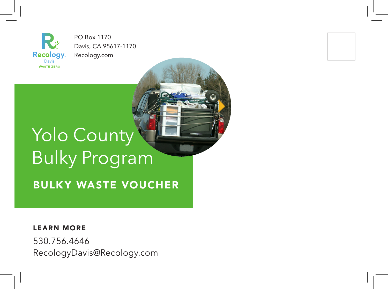**Recology** Davis**WASTE ZERO** 

PO Box 1170 Davis, CA 95617-1170 Recology.com

# Yolo County Bulky Program

BULKY WASTE VOUCHER

LEARN MORE

530.756.4646 RecologyDavis@Recology.com